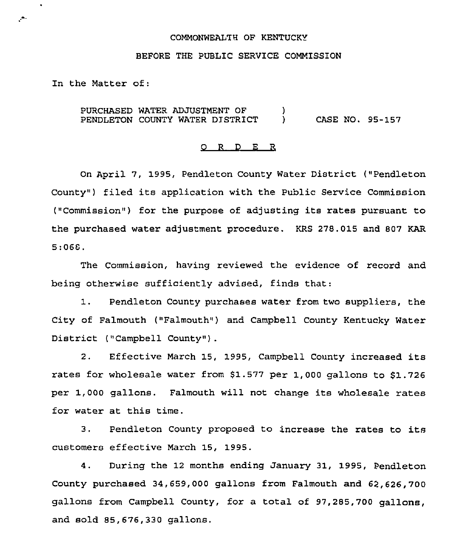#### COMMONWEALTH OF KENTUCKY

## BEFORE THE PUBLIC SERVICE COMMISSION

In the Matter of:

 $\ddot{\phantom{0}}$ 

 $\mathcal{C}^{\bullet}$ 

PURCHASED WATER ADJUSTMENT OF PENDLETON COUNTY WATER DISTRICT  $\mathcal{L}$ ) CASE NO. 95-157

### O R D E R

On April 7, 1995, Pendleton County Water District ("Pendleton County") filed its application with the Public Service Commission ("Commission") for the purpose of adjusting its rates pursuant to the purchased water adjustment procedure. KRS 278.015 and 807 KAR 5:068.

The Commission, having reviewed the evidence of record and being otherwise sufficiently advised, finds that:

1. Pendleton County purchases water from two suppliers, the City of Falmouth ("Falmouth") and Campbell County Kentucky Water District ("Campbell County").

2. Effective March 15, 1995, Campbell County increased its rates for wholesale water from  $$1.577$  per 1,000 gallons to  $$1.726$ per 1,000 gallons. Falmouth will not change its wholesale rates for water at this time.

3. Pendleton County proposed to increase the rates to its customers effective March 15, 1995.

4. During the 12 months ending January 31, 1995, Pendleton County purchased 34,659,000 gallons from Falmouth and 62,626, 700 gallons from Campbell County, for a total of 97,285,700 gallons, and sold 85,676,330 gallons.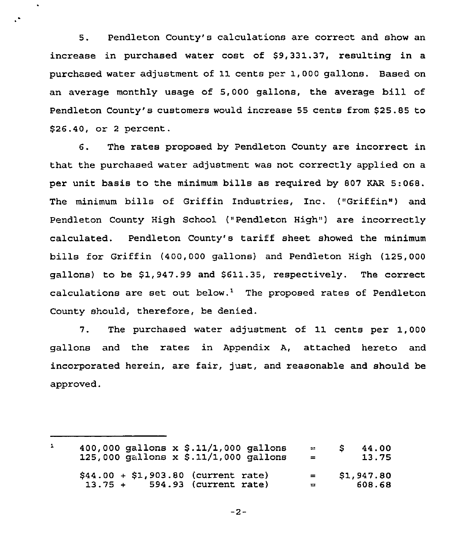5. Pendleton County's calculations are correct and show an increase in purchased water cost of \$9,331.37, resulting in a purchased water adjustment of 11 cents per 1,000 gallons. Based on an average monthly usage of 5,000 gallons, the average bill of Pendleton County's customers would increase 55 cents from \$25.85 to \$26.40, or <sup>2</sup> percent.

 $\bullet$ 

6. The rates proposed by Pendleton County are incorrect in that the purchased water adjustment was not correctly applied on a per unit basis to the minimum bills as required by 807 KAR 5:068. The minimum bills of Griffin Industries, Inc. ("Griffin") and Pendleton County High School ("Pendleton High") are incorrectly calculated. Pendleton County's tariff sheet showed the minimum bills for Griffin (400,000 gallons) and Pendleton High (125,000 gallons) to be \$1,947.99 and \$611.35, respectively. The correct calculations are set out below.<sup>1</sup> The proposed rates of Pendleton County should, therefore, be denied.

7. The purchased water adjustment of 11 cents per 1,000 gallons and the rates in Appendix A, attached hereto and incorporated herein, are fair, just, and reasonable and should be approved.

 $\mathbf{1}$ 400,000 gallons x \$ .11/1,000 gallons  $$ 44.00$ <br> $13.75$  $\blacksquare$ 125,000 gallons  $x$  \$.11/1,000 gallons  $=$ \$44.00 <sup>+</sup> \$1,903.80 (current rate) 13.75 <sup>+</sup> 594.93 (current rate) \$1,947.80  $=$ 608.68 $\equiv$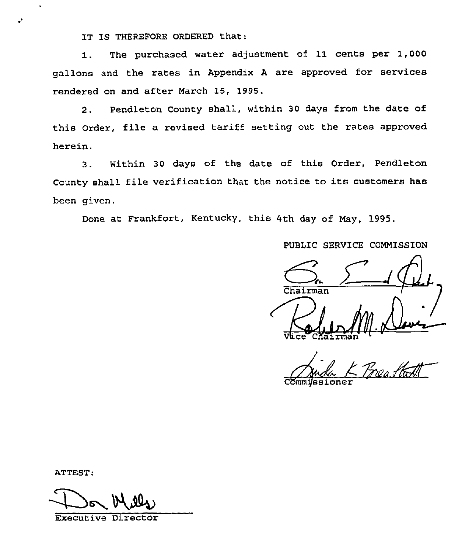IT IS THEREFORE ORDERED that:

1. The purchased water adjustment of 11 cents per 1,000 gallons and the rates in Appendix <sup>A</sup> are approved for services rendered on and after March 15, 1995.

2. Pendleton County shall, within 30 days from the date of this Order, file a revised tariff setting out the rates approved herein.

3. Within 30 days of the date of this Order, Pendleton County shall file verification that the notice to its customers has been given.

Done at Frankfort, Kentucky, this 4th day of May, 1995.

PUBLIC SERVICE COMMISSION

Chairman<br>VLce Chairma  $\frac{1}{\frac{1}{2}}$ 

Commi*jssione* 

ATTEST:

Executive Director